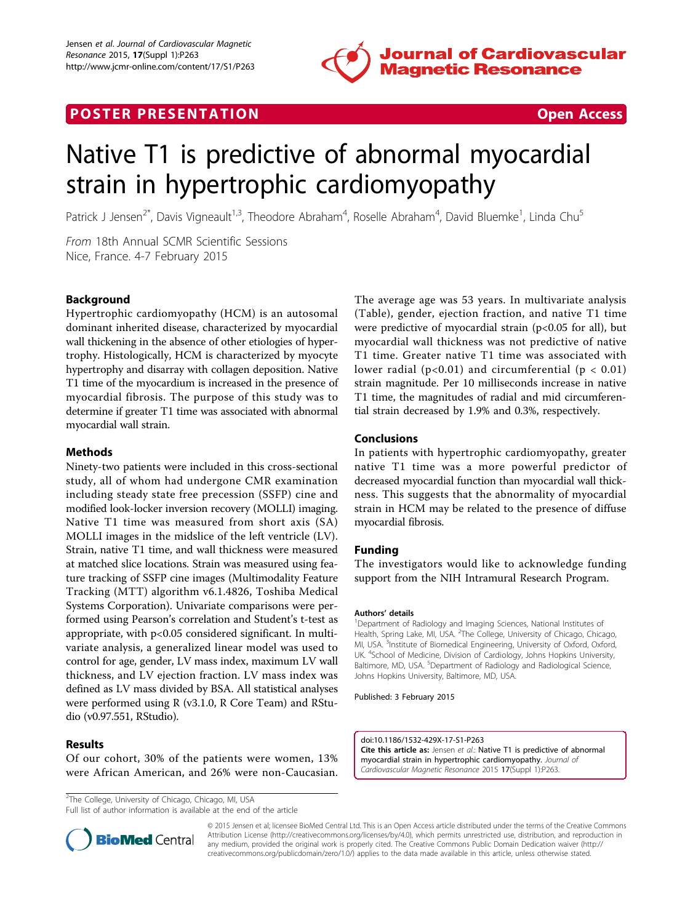

## **POSTER PRESENTATION CONSUMING THE SECOND CONSUMING THE SECOND CONSUMING THE SECOND CONSUMING THE SECOND CONSUMING THE SECOND CONSUMING THE SECOND CONSUMING THE SECOND CONSUMING THE SECOND CONSUMING THE SECOND CONSUMING**



# Native T1 is predictive of abnormal myocardial strain in hypertrophic cardiomyopathy

Patrick J Jensen<sup>2\*</sup>, Davis Vigneault<sup>1,3</sup>, Theodore Abraham<sup>4</sup>, Roselle Abraham<sup>4</sup>, David Bluemke<sup>1</sup>, Linda Chu<sup>5</sup>

From 18th Annual SCMR Scientific Sessions Nice, France. 4-7 February 2015

### Background

Hypertrophic cardiomyopathy (HCM) is an autosomal dominant inherited disease, characterized by myocardial wall thickening in the absence of other etiologies of hypertrophy. Histologically, HCM is characterized by myocyte hypertrophy and disarray with collagen deposition. Native T1 time of the myocardium is increased in the presence of myocardial fibrosis. The purpose of this study was to determine if greater T1 time was associated with abnormal myocardial wall strain.

#### Methods

Ninety-two patients were included in this cross-sectional study, all of whom had undergone CMR examination including steady state free precession (SSFP) cine and modified look-locker inversion recovery (MOLLI) imaging. Native T1 time was measured from short axis (SA) MOLLI images in the midslice of the left ventricle (LV). Strain, native T1 time, and wall thickness were measured at matched slice locations. Strain was measured using feature tracking of SSFP cine images (Multimodality Feature Tracking (MTT) algorithm v6.1.4826, Toshiba Medical Systems Corporation). Univariate comparisons were performed using Pearson's correlation and Student's t-test as appropriate, with p<0.05 considered significant. In multivariate analysis, a generalized linear model was used to control for age, gender, LV mass index, maximum LV wall thickness, and LV ejection fraction. LV mass index was defined as LV mass divided by BSA. All statistical analyses were performed using R (v3.1.0, R Core Team) and RStudio (v0.97.551, RStudio).

### Results

Of our cohort, 30% of the patients were women, 13% were African American, and 26% were non-Caucasian.

<sup>2</sup>The College, University of Chicago, Chicago, MI, USA

Full list of author information is available at the end of the article

The average age was 53 years. In multivariate analysis (Table), gender, ejection fraction, and native T1 time were predictive of myocardial strain (p<0.05 for all), but myocardial wall thickness was not predictive of native T1 time. Greater native T1 time was associated with lower radial ( $p<0.01$ ) and circumferential ( $p < 0.01$ ) strain magnitude. Per 10 milliseconds increase in native T1 time, the magnitudes of radial and mid circumferential strain decreased by 1.9% and 0.3%, respectively.

#### Conclusions

In patients with hypertrophic cardiomyopathy, greater native T1 time was a more powerful predictor of decreased myocardial function than myocardial wall thickness. This suggests that the abnormality of myocardial strain in HCM may be related to the presence of diffuse myocardial fibrosis.

#### Funding

The investigators would like to acknowledge funding support from the NIH Intramural Research Program.

#### Authors' details <sup>1</sup>

<sup>1</sup>Department of Radiology and Imaging Sciences, National Institutes of Health, Spring Lake, MI, USA. <sup>2</sup>The College, University of Chicago, Chicago, MI, USA. <sup>3</sup> Institute of Biomedical Engineering, University of Oxford, Oxford, UK. <sup>4</sup>School of Medicine, Division of Cardiology, Johns Hopkins University, Baltimore, MD, USA. <sup>5</sup>Department of Radiology and Radiological Science Johns Hopkins University, Baltimore, MD, USA.

Published: 3 February 2015

doi:10.1186/1532-429X-17-S1-P263 Cite this article as: Jensen et al.: Native T1 is predictive of abnormal myocardial strain in hypertrophic cardiomyopathy. Journal of Cardiovascular Magnetic Resonance 2015 17(Suppl 1):P263.



© 2015 Jensen et al; licensee BioMed Central Ltd. This is an Open Access article distributed under the terms of the Creative Commons Attribution License [\(http://creativecommons.org/licenses/by/4.0](http://creativecommons.org/licenses/by/4.0)), which permits unrestricted use, distribution, and reproduction in any medium, provided the original work is properly cited. The Creative Commons Public Domain Dedication waiver [\(http://](http://creativecommons.org/publicdomain/zero/1.0/) [creativecommons.org/publicdomain/zero/1.0/](http://creativecommons.org/publicdomain/zero/1.0/)) applies to the data made available in this article, unless otherwise stated.